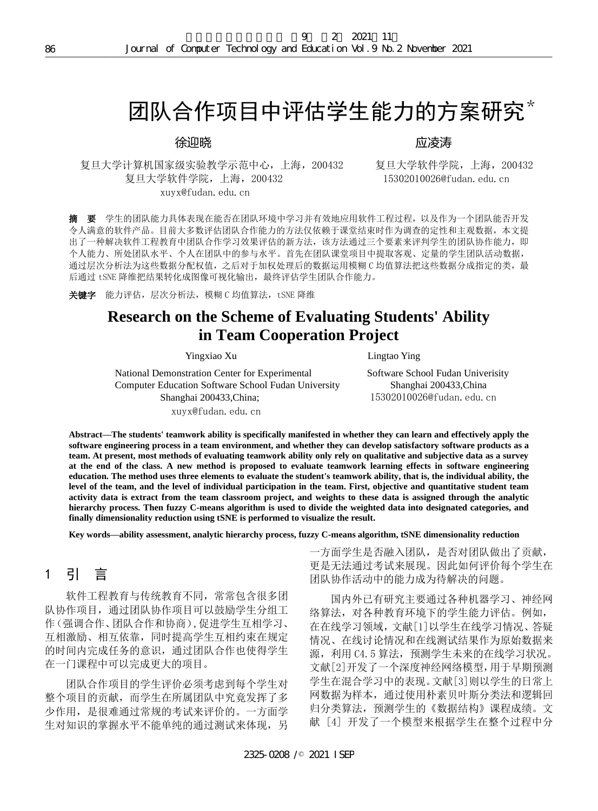# 团队合作项目中评估学生能力的方案研究\*

#### 徐迎晓

复旦大学计算机国家级实验教学示范中心,上海,200432 复旦大学软件学院,上海,200432 复旦大学软件学院,上海,200432 15302010026@fudan.edu.cn xuyx@fudan.edu.cn

应凌涛

**摘 要** 学生的团队能力具体表现在能否在团队环境中学习并有效地应用软件工程过程,以及作为一个团队能否开发 令人满意的软件产品。目前大多数评估团队合作能力的方法仅依赖于课堂结束时作为调查的定性和主观数据,本文提 出了一种解决软件工程教育中团队合作学习效果评估的新方法,该方法通过三个要素来评判学生的团队协作能力,即 个人能力、所处团队水平、个人在团队中的参与水平。首先在团队课堂项目中提取客观、定量的学生团队活动数据, 通过层次分析法为这些数据分配权值,之后对于加权处理后的数据运用模糊 C 均值算法把这些数据分成指定的类,最 后通过 tSNE 降维把结果转化成图像可视化输出,最终评估学生团队合作能力。

关键字 能力评估, 层次分析法, 模糊 C 均值算法, tSNE 降维

## **Research on the Scheme of Evaluating Students' Ability in Team Cooperation Project**

Yingxiao Xu Lingtao Ying

National Demonstration Center for Experimental Software School Fudan Univerisity Computer Education Software School Fudan University Shanghai 200433,China Shanghai 200433, China; 15302010026@fudan.edu.cn

xuyx@fudan.edu.cn

**Abstract—The students' teamwork ability is specifically manifested in whether they can learn and effectively apply the software engineering process in a team environment, and whether they can develop satisfactory software products as a team. At present, most methods of evaluating teamwork ability only rely on qualitative and subjective data as a survey at the end of the class. A new method is proposed to evaluate teamwork learning effects in software engineering education. The method uses three elements to evaluate the student's teamwork ability, that is, the individual ability, the level of the team, and the level of individual participation in the team. First, objective and quantitative student team activity data is extract from the team classroom project, and weights to these data is assigned through the analytic hierarchy process. Then fuzzy C-means algorithm is used to divide the weighted data into designated categories, and finally dimensionality reduction using tSNE is performed to visualize the result.** Journal of Corputer Technology and Eurasian Packation With 23<br> **2226-0208** /<br> **2328-0221 ISEP / The Corputer Technology and Eurasian Direction With 2021<br>
<br>
2421 DM <b>(454-1455)**<br>
<br>
2421 DM **(454-1455)**<br>
<br>
2421 DM **(464-14** 

**Key words—ability assessment, analytic hierarchy process, fuzzy C-means algorithm, tSNE dimensionality reduction**

## 1 引 言

软件工程教育与传统教育不同,常常包含很多团 队协作项目,通过团队协作项目可以鼓励学生分组工 作(强调合作、团队合作和协商),促进学生互相学习、 互相激励、相互依靠,同时提高学生互相约束在规定 的时间内完成任务的意识,通过团队合作也使得学生 在一门课程中可以完成更大的项目。

团队合作项目的学生评价必须考虑到每个学生对 整个项目的贡献,而学生在所属团队中究竟发挥了多 少作用,是很难通过常规的考试来评价的。一方面学 生对知识的掌握水平不能单纯的通过测试来体现,另

一方面学生是否融入团队,是否对团队做出了贡献, 更是无法通过考试来展现。因此如何评价每个学生在 团队协作活动中的能力成为待解决的问题。

国内外已有研究主要通过各种机器学习、神经网 络算法,对各种教育环境下的学生能力评估。例如, 在在线学习领域,文献[1]以学生在线学习情况、答疑 情况、在线讨论情况和在线测试结果作为原始数据来 源,利用 C4.5 算法,预测学生未来的在线学习状况。 文献[2]开发了一个深度神经网络模型,用于早期预测 学生在混合学习中的表现。文献[3]则以学生的日常上 网数据为样本,通过使用朴素贝叶斯分类法和逻辑回 归分类算法,预测学生的《数据结构》课程成绩。文 献 [4] 开发了一个模型来根据学生在整个过程中分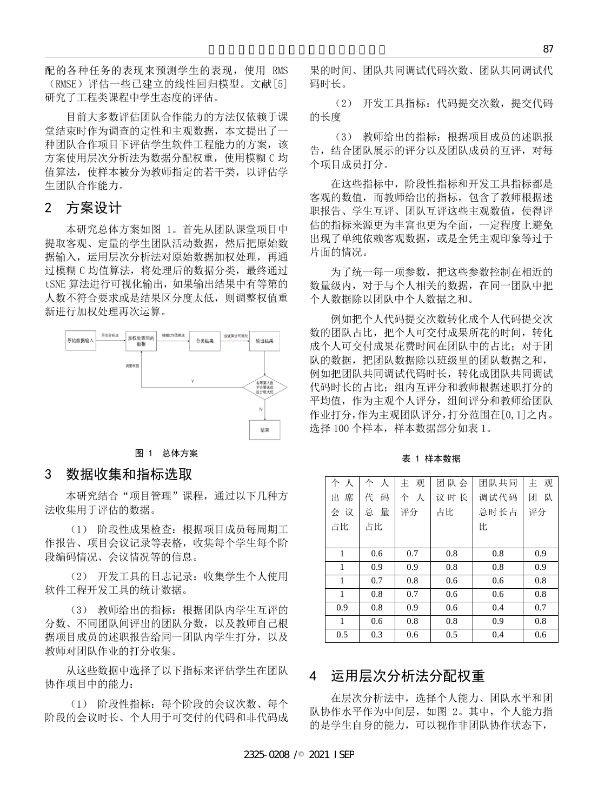配的各种任务的表现来预测学生的表现,使用 RMS (RMSE)评估一些已建立的线性回归模型。文献[5] 研究了工程类课程中学生态度的评估。

目前大多数评估团队合作能力的方法仅依赖于课 堂结束时作为调查的定性和主观数据,本文提出了一 种团队合作项目下评估学生软件工程能力的方案,该 方案使用层次分析法为数据分配权重, 使用模糊 C 均 值算法,使样本被分为教师指定的若干类,以评估学 生团队合作能力。

#### 2 方案设计

本研究总体方案如图 1。首先从团队课堂项目中 提取客观、定量的学生团队活动数据,然后把原始数 据输入,运用层次分析法对原始数据加权处理,再通 过模糊 C 均值算法, 将处理后的数据分类, 最终通过 tSNE 算法进行可视化输出,如果输出结果中有等第的 人数不符合要求或是结果区分度太低,则调整权值重 新进行加权处理再次运算。



图 1 总体方案

#### 3 数据收集和指标选取

本研究结合"项目管理"课程,通过以下几种方 法收集用于评估的数据。

(1) 阶段性成果检查:根据项目成员每周期工 作报告、项目会议记录等表格,收集每个学生每个阶 段编码情况、会议情况等的信息。

(2) 开发工具的日志记录:收集学生个人使用 软件工程开发工具的统计数据。

(3) 教师给出的指标:根据团队内学生互评的 分数、不同团队间评出的团队分数,以及教师自己根 据项目成员的述职报告给同一团队内学生打分,以及 教师对团队作业的打分收集。

从这些数据中选择了以下指标来评估学生在团队 协作项目中的能力:

(1) 阶段性指标:每个阶段的会议次数、每个 阶段的会议时长、个人用于可交付的代码和非代码成

表 1 样本数据

|                                                                         |                                                                                                             |                 |                 |                    |                  |                                                                                                                                        | 87             |
|-------------------------------------------------------------------------|-------------------------------------------------------------------------------------------------------------|-----------------|-----------------|--------------------|------------------|----------------------------------------------------------------------------------------------------------------------------------------|----------------|
| 表现,<br>使用 RMS<br>归模型。文献[5]                                              |                                                                                                             | 码时长。            |                 |                    |                  | 果的时间、团队共同调试代码次数、团队共同调试代                                                                                                                |                |
| 占。<br>匀方法仅依赖于课                                                          |                                                                                                             | (2)<br>的长度      |                 |                    |                  | 开发工具指标: 代码提交次数, 提交代码                                                                                                                   |                |
| <sup>民,</sup> 本文提出了一<br>呈能力的方案,该<br>直, 使用模糊 C 均<br><sup>吉</sup> 干类,以评估学 |                                                                                                             | (3)<br>个项目成员打分。 |                 |                    |                  | 教师给出的指标: 根据项目成员的述职报<br>告,结合团队展示的评分以及团队成员的互评,对每                                                                                         |                |
| 人团队课堂项目中                                                                |                                                                                                             |                 |                 |                    |                  | 在这些指标中, 阶段性指标和开发工具指标都是<br>客观的数值, 而教师给出的指标, 包含了教师根据述<br>职报告、学生互评、团队互评这些主观数值, 使得评<br>估的指标来源更为丰富也更为全面, 一定程度上避免                            |                |
| ■,然后把原始数<br>居加权处理,再通                                                    | 出现了单纯依赖客观数据, 或是全凭主观印象等过于<br>片面的情况。                                                                          |                 |                 |                    |                  |                                                                                                                                        |                |
| 居分类,最终通过<br>出结果中有等第的<br>氐,则调整权值重                                        | 为了统一每一项参数, 把这些参数控制在相近的<br>数量级内,对于与个人相关的数据,在同一团队中把<br>个人数据除以团队中个人数据之和。                                       |                 |                 |                    |                  |                                                                                                                                        |                |
| tSNE算法可视化<br>课<br>输出结果<br>各等第人数<br>不合要求成<br>区分度太佳                       |                                                                                                             |                 |                 |                    |                  | 例如把个人代码提交次数转化成个人代码提交次<br>数的团队占比, 把个人可交付成果所花的时间, 转化<br>成个人可交付成果花费时间在团队中的占比; 对于团<br>队的数据, 把团队数据除以班级里的团队数据之和,<br>例如把团队共同调试代码时长, 转化成团队共同调试 |                |
| Ν<br>结束                                                                 | 代码时长的占比; 组内互评分和教师根据述职打分的<br>平均值, 作为主观个人评分, 组间评分和教师给团队<br>作业打分,作为主观团队评分,打分范围在[0,1]之内。<br>选择100个样本,样本数据部分如表1。 |                 |                 |                    |                  |                                                                                                                                        |                |
| 表 1 样本数据                                                                |                                                                                                             |                 |                 |                    |                  |                                                                                                                                        |                |
| 通过以下几种方                                                                 |                                                                                                             | 个人<br>出席<br>会议  | 个人<br>代 码<br>总量 | 观<br>主<br>个人<br>评分 | 团队会<br>议时长<br>占比 | 团队共同<br>调试代码<br>总时长占                                                                                                                   | 主观<br>团队<br>评分 |
| 页目成员每周期工<br>裏每个学生每个阶                                                    |                                                                                                             | 占比              | 占比              |                    |                  | 比                                                                                                                                      |                |
|                                                                         |                                                                                                             | 1               | 0.6             | 0.7                | 0.8              | 0.8                                                                                                                                    | 0.9            |
|                                                                         |                                                                                                             | 1               | 0.9             | 0.9                | 0.8              | 0.8                                                                                                                                    | 0.9            |
| 女集学生个人使用                                                                |                                                                                                             | 1               | 0.7             | 0.8                | 0.6              | 0.6                                                                                                                                    | 0.8            |
|                                                                         |                                                                                                             | 1               | 0.8             | 0.7                | 0.6              | 0.6                                                                                                                                    | 0.8            |
| 团队内学生互评的                                                                |                                                                                                             | 0.9             | 0.8             | 0.9                | 0.6              | 0.4                                                                                                                                    | 0.7            |
| 以及教师自己根                                                                 |                                                                                                             | 1               | 0.6             | 0.8                | 0.8              | 0.9                                                                                                                                    | 0.8            |
| 5学生打分,以及                                                                |                                                                                                             | 0.5             | 0.3             | 0.6                | 0.5              | 0.4                                                                                                                                    | 0.6            |
| K评估学生在团队                                                                | 4                                                                                                           |                 |                 |                    | 运用层次分析法分配权重      |                                                                                                                                        |                |
| 的会议次数、每个<br>匀代码和非代码成                                                    |                                                                                                             |                 |                 |                    |                  | 在层次分析法中,选择个人能力、团队水平和团<br>队协作水平作为中间层, 如图 2。其中, 个人能力指<br>的是学生自身的能力,可以视作非团队协作状态下,                                                         |                |
| 2325-0208 / 2021 ISEP                                                   |                                                                                                             |                 |                 |                    |                  |                                                                                                                                        |                |

## 4 运用层次分析法分配权重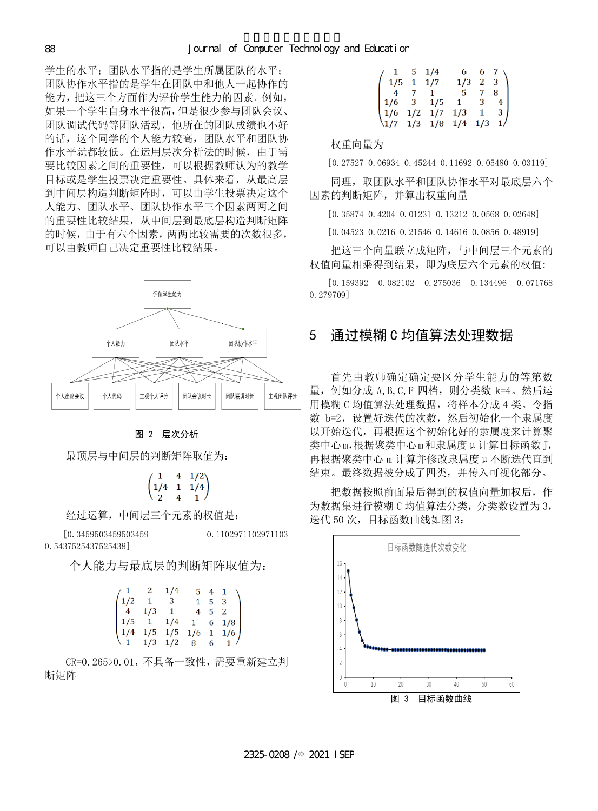学生的水平;团队水平指的是学生所属团队的水平; 团队协作水平指的是学生在团队中和他人一起协作的 能力,把这三个方面作为评价学生能力的因素。例如, 如果一个学生自身水平很高,但是很少参与团队会议、 团队调试代码等团队活动,他所在的团队成绩也不好 的话,这个同学的个人能力较高,团队水平和团队协 作水平就都较低。在运用层次分析法的时候,由于需 要比较因素之间的重要性,可以根据教师认为的教学 目标或是学生投票决定重要性。具体来看,从最高层 到中间层构造判断矩阵时,可以由学生投票决定这个 人能力、团队水平、团队协作水平三个因素两两之间 的重要性比较结果,从中间层到最底层构造判断矩阵 的时候,由于有六个因素,两两比较需要的次数很多, 可以由教师自己决定重要性比较结果。 2325-0208 /© 2021 ISEP 计算机技术与教育学报



图 2 层次分析

最顶层与中间层的判断矩阵取值为:

$$
\begin{pmatrix} 1 & 4 & 1/2 \\ 1/4 & 1 & 1/4 \\ 2 & 4 & 1 \end{pmatrix}
$$

经过运算,中间层三个元素的权值是:

[0.3459503459503459 0.1102971102971103 0.5437525437525438]

个人能力与最底层的判断矩阵取值为:

|  | $\begin{pmatrix} 1 & 2 & 1/4 \end{pmatrix}$ |  | $5 \t4 \t1 \t$                                                                                                              |
|--|---------------------------------------------|--|-----------------------------------------------------------------------------------------------------------------------------|
|  | $\begin{pmatrix} 1/2 & 1 & 3 \end{pmatrix}$ |  | $1 \quad 5 \quad 3$                                                                                                         |
|  |                                             |  | $4 \t1/3 \t1 \t4 \t5 \t2$                                                                                                   |
|  |                                             |  |                                                                                                                             |
|  |                                             |  |                                                                                                                             |
|  |                                             |  | $\begin{bmatrix} 1/5 & 1 & 1/4 & 1 & 6 & 1/8 \\ 1/4 & 1/5 & 1/5 & 1/6 & 1 & 1/6 \\ 1 & 1/3 & 1/2 & 8 & 6 & 1 \end{bmatrix}$ |

CR=0.265>0.01,不具备一致性,需要重新建立判 断矩阵

| $/$ 1 5 1/4                                                                                                                        |  |             | $\begin{matrix} 6 & 6 & 7 \\ 1/3 & 2 & 3 \end{matrix}$ |  |
|------------------------------------------------------------------------------------------------------------------------------------|--|-------------|--------------------------------------------------------|--|
| $1/5$ 1 1/7                                                                                                                        |  |             | $1/3$ 2 3                                              |  |
|                                                                                                                                    |  | 4 7 1 5 7 8 |                                                        |  |
| $\begin{array}{ c cccc }\n4 & 7 & 1 & - \\ 1/6 & 3 & 1/5 & 1 & 3 & 4 \\ \hline\n\therefore & 4/2 & 1/7 & 1/3 & 1 & 3\n\end{array}$ |  |             |                                                        |  |
|                                                                                                                                    |  |             |                                                        |  |
| $\begin{pmatrix} 1/6 & 1/2 & 1/7 & 1/3 & 1 & 3 \\ 1/7 & 1/3 & 1/8 & 1/4 & 1/3 & 1 \end{pmatrix}$                                   |  |             |                                                        |  |

权重向量为

[0.27527 0.06934 0.45244 0.11692 0.05480 0.03119]

同理,取团队水平和团队协作水平对最底层六个 因素的判断矩阵,并算出权重向量

[0.35874 0.4204 0.01231 0.13212 0.0568 0.02648]

[0.04523 0.0216 0.21546 0.14616 0.0856 0.48919]

把这三个向量联立成矩阵,与中间层三个元素的 权值向量相乘得到结果,即为底层六个元素的权值:

[0.159392 0.082102 0.275036 0.134496 0.071768 0.279709]

#### 5 通过模糊 C 均值算法处理数据

首先由教师确定确定要区分学生能力的等第数 量,例如分成 A,B,C,F 四档,则分类数 k=4。然后运 用模糊 C 均值算法处理数据, 将样本分成 4 类。令指 数 b=2, 设置好迭代的次数, 然后初始化一个隶属度 以开始迭代,再根据这个初始化好的隶属度来计算聚 类中心m,根据聚类中心m和隶属度μ计算目标函数J, 再根据聚类中心 m 计算并修改隶属度μ不断迭代直到 结束。最终数据被分成了四类,并传入可视化部分。

把数据按照前面最后得到的权值向量加权后,作 为数据集进行模糊 C 均值算法分类,分类数设置为 3, 迭代 50 次,目标函数曲线如图 3: